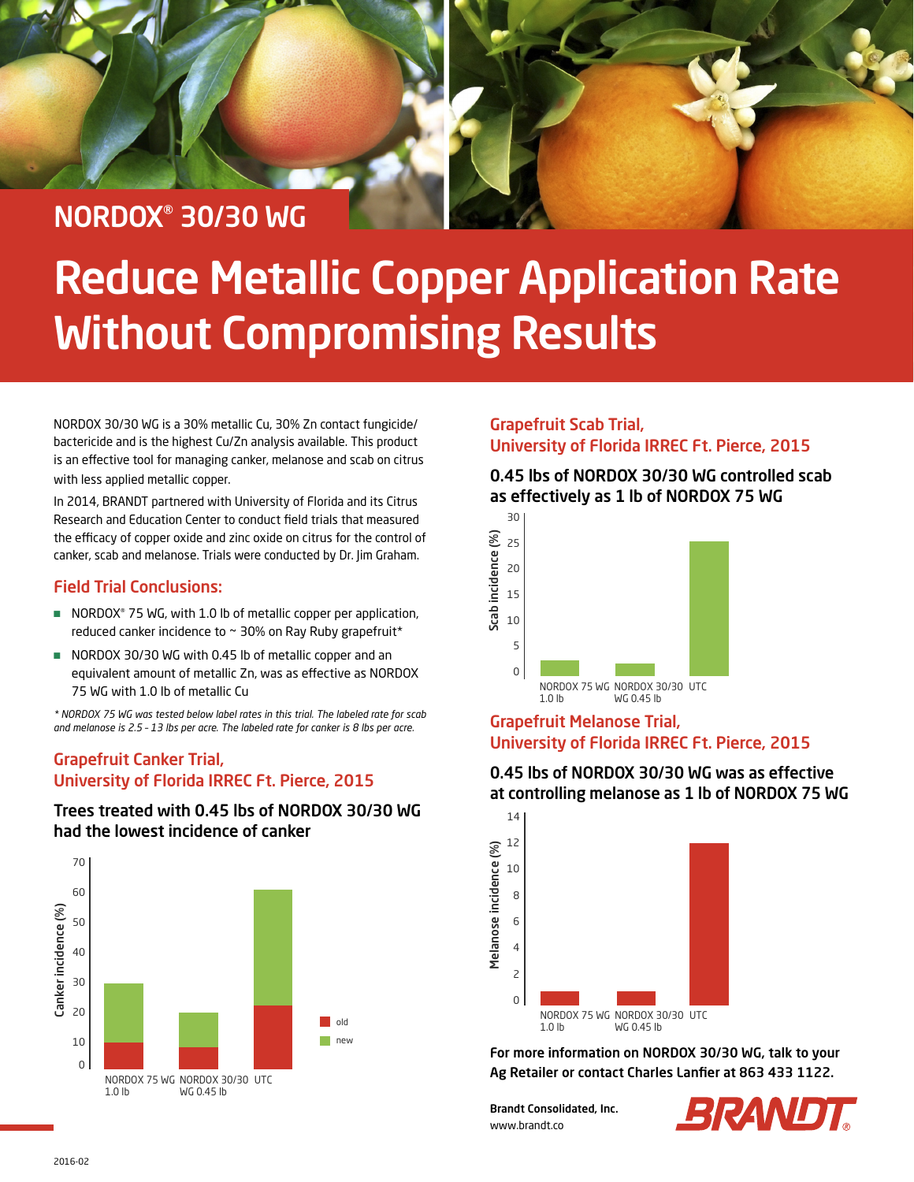### NORDOX® 30/30 WG

## Reduce Metallic Copper Application Rate Without Compromising Results

NORDOX 30/30 WG is a 30% metallic Cu, 30% Zn contact fungicide/ bactericide and is the highest Cu/Zn analysis available. This product is an effective tool for managing canker, melanose and scab on citrus with less applied metallic copper.

In 2014, BRANDT partnered with University of Florida and its Citrus Research and Education Center to conduct field trials that measured the efficacy of copper oxide and zinc oxide on citrus for the control of canker, scab and melanose. Trials were conducted by Dr. Jim Graham.

#### Field Trial Conclusions:

- NORDOX<sup>®</sup> 75 WG, with 1.0 lb of metallic copper per application, reduced canker incidence to ~ 30% on Ray Ruby grapefruit\*
- NORDOX 30/30 WG with 0.45 lb of metallic copper and an equivalent amount of metallic Zn, was as effective as NORDOX 75 WG with 1.0 lb of metallic Cu

*\* NORDOX 75 WG was tested below label rates in this trial. The labeled rate for scab and melanose is 2.5 – 13 lbs per acre. The labeled rate for canker is 8 lbs per acre.* 

#### Grapefruit Canker Trial, University of Florida IRREC Ft. Pierce, 2015

#### Trees treated with 0.45 lbs of NORDOX 30/30 WG had the lowest incidence of canker



#### Grapefruit Scab Trial, University of Florida IRREC Ft. Pierce, 2015

#### 0.45 lbs of NORDOX 30/30 WG controlled scab as effectively as 1 lb of NORDOX 75 WG



#### Grapefruit Melanose Trial, University of Florida IRREC Ft. Pierce, 2015

#### 0.45 lbs of NORDOX 30/30 WG was as effective at controlling melanose as 1 lb of NORDOX 75 WG



For more information on NORDOX 30/30 WG, talk to your Ag Retailer or contact Charles Lanfier at 863 433 1122.

Brandt Consolidated, Inc. www.brandt.co